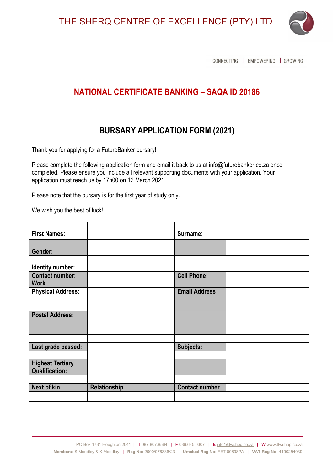THE SHERQ CENTRE OF EXCELLENCE (PTY) LTD



CONNECTING | EMPOWERING | GROWING

## **NATIONAL CERTIFICATE BANKING – SAQA ID 20186**

## **BURSARY APPLICATION FORM (2021)**

Thank you for applying for a FutureBanker bursary!

Please complete the following application form and email it back to us at info@futurebanker.co.za once completed. Please ensure you include all relevant supporting documents with your application. Your application must reach us by 17h00 on 12 March 2021.

Please note that the bursary is for the first year of study only.

We wish you the best of luck!

| <b>First Names:</b>                              |              | Surname:              |  |
|--------------------------------------------------|--------------|-----------------------|--|
| Gender:                                          |              |                       |  |
| Identity number:                                 |              |                       |  |
| <b>Contact number:</b><br><b>Work</b>            |              | <b>Cell Phone:</b>    |  |
| <b>Physical Address:</b>                         |              | <b>Email Address</b>  |  |
| <b>Postal Address:</b>                           |              |                       |  |
|                                                  |              |                       |  |
| Last grade passed:                               |              | Subjects:             |  |
| <b>Highest Tertiary</b><br><b>Qualification:</b> |              |                       |  |
|                                                  |              |                       |  |
| Next of kin                                      | Relationship | <b>Contact number</b> |  |
|                                                  |              |                       |  |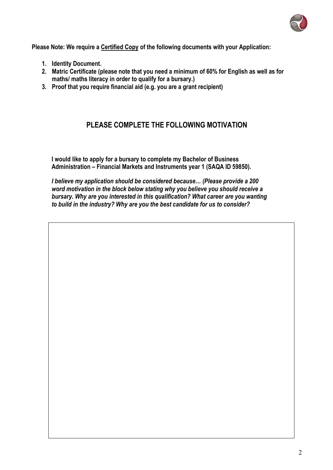

**Please Note: We require a Certified Copy of the following documents with your Application:**

- **1. Identity Document.**
- **2. Matric Certificate (please note that you need a minimum of 60% for English as well as for maths/ maths literacy in order to qualify for a bursary.)**
- **3. Proof that you require financial aid (e.g. you are a grant recipient)**

## **PLEASE COMPLETE THE FOLLOWING MOTIVATION**

**I would like to apply for a bursary to complete my Bachelor of Business Administration – Financial Markets and Instruments year 1 (SAQA ID 59850).**

*I believe my application should be considered because… (Please provide a 200 word motivation in the block below stating why you believe you should receive a bursary. Why are you interested in this qualification? What career are you wanting to build in the industry? Why are you the best candidate for us to consider?*